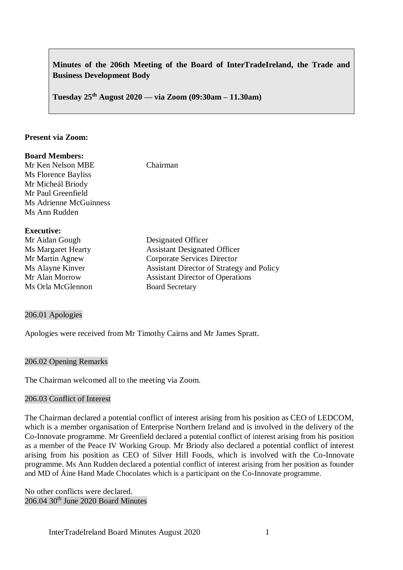# **Minutes of the 206th Meeting of the Board of InterTradeIreland, the Trade and Business Development Body**

**Tuesday 25th August 2020 –– via Zoom (09:30am – 11.30am)**

#### **Present via Zoom:**

### **Board Members:**

Mr Ken Nelson MBE Chairman Ms Florence Bayliss Mr Micheál Briody Mr Paul Greenfield Ms Adrienne McGuinness Ms Ann Rudden

### **Executive:**

| Mr Aidan Gough            | Designated Officer                               |
|---------------------------|--------------------------------------------------|
| <b>Ms Margaret Hearty</b> | <b>Assistant Designated Officer</b>              |
| Mr Martin Agnew           | <b>Corporate Services Director</b>               |
| Ms Alayne Kinver          | <b>Assistant Director of Strategy and Policy</b> |
| Mr Alan Morrow            | <b>Assistant Director of Operations</b>          |
| Ms Orla McGlennon         | <b>Board Secretary</b>                           |

#### 206.01 Apologies

Apologies were received from Mr Timothy Cairns and Mr James Spratt.

### 206.02 Opening Remarks

The Chairman welcomed all to the meeting via Zoom.

#### 206.03 Conflict of Interest

The Chairman declared a potential conflict of interest arising from his position as CEO of LEDCOM, which is a member organisation of Enterprise Northern Ireland and is involved in the delivery of the Co-Innovate programme. Mr Greenfield declared a potential conflict of interest arising from his position as a member of the Peace IV Working Group. Mr Briody also declared a potential conflict of interest arising from his position as CEO of Silver Hill Foods, which is involved with the Co-Innovate programme. Ms Ann Rudden declared a potential conflict of interest arising from her position as founder and MD of Áine Hand Made Chocolates which is a participant on the Co-Innovate programme.

No other conflicts were declared. 206.04 30<sup>th</sup> June 2020 Board Minutes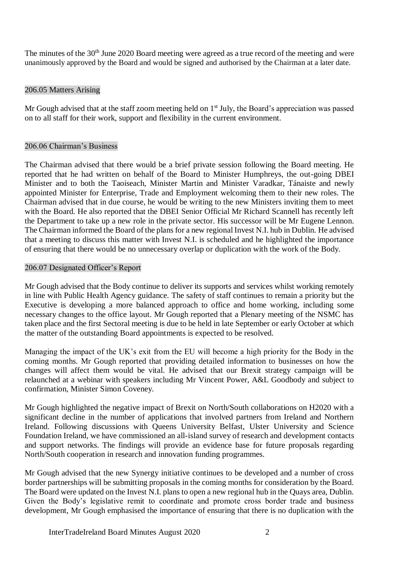The minutes of the 30<sup>th</sup> June 2020 Board meeting were agreed as a true record of the meeting and were unanimously approved by the Board and would be signed and authorised by the Chairman at a later date.

# 206.05 Matters Arising

Mr Gough advised that at the staff zoom meeting held on  $1<sup>st</sup>$  July, the Board's appreciation was passed on to all staff for their work, support and flexibility in the current environment.

### 206.06 Chairman's Business

The Chairman advised that there would be a brief private session following the Board meeting. He reported that he had written on behalf of the Board to Minister Humphreys, the out-going DBEI Minister and to both the Taoiseach, Minister Martin and Minister Varadkar, Tánaiste and newly appointed Minister for Enterprise, Trade and Employment welcoming them to their new roles. The Chairman advised that in due course, he would be writing to the new Ministers inviting them to meet with the Board. He also reported that the DBEI Senior Official Mr Richard Scannell has recently left the Department to take up a new role in the private sector. His successor will be Mr Eugene Lennon. The Chairman informed the Board of the plans for a new regional Invest N.I. hub in Dublin. He advised that a meeting to discuss this matter with Invest N.I. is scheduled and he highlighted the importance of ensuring that there would be no unnecessary overlap or duplication with the work of the Body.

### 206.07 Designated Officer's Report

Mr Gough advised that the Body continue to deliver its supports and services whilst working remotely in line with Public Health Agency guidance. The safety of staff continues to remain a priority but the Executive is developing a more balanced approach to office and home working, including some necessary changes to the office layout. Mr Gough reported that a Plenary meeting of the NSMC has taken place and the first Sectoral meeting is due to be held in late September or early October at which the matter of the outstanding Board appointments is expected to be resolved.

Managing the impact of the UK's exit from the EU will become a high priority for the Body in the coming months. Mr Gough reported that providing detailed information to businesses on how the changes will affect them would be vital. He advised that our Brexit strategy campaign will be relaunched at a webinar with speakers including Mr Vincent Power, A&L Goodbody and subject to confirmation, Minister Simon Coveney.

Mr Gough highlighted the negative impact of Brexit on North/South collaborations on H2020 with a significant decline in the number of applications that involved partners from Ireland and Northern Ireland. Following discussions with Queens University Belfast, Ulster University and Science Foundation Ireland, we have commissioned an all-island survey of research and development contacts and support networks. The findings will provide an evidence base for future proposals regarding North/South cooperation in research and innovation funding programmes.

Mr Gough advised that the new Synergy initiative continues to be developed and a number of cross border partnerships will be submitting proposals in the coming months for consideration by the Board. The Board were updated on the Invest N.I. plans to open a new regional hub in the Quays area, Dublin. Given the Body's legislative remit to coordinate and promote cross border trade and business development, Mr Gough emphasised the importance of ensuring that there is no duplication with the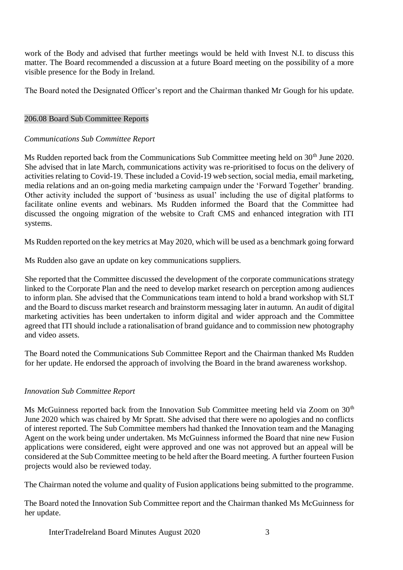work of the Body and advised that further meetings would be held with Invest N.I. to discuss this matter. The Board recommended a discussion at a future Board meeting on the possibility of a more visible presence for the Body in Ireland.

The Board noted the Designated Officer's report and the Chairman thanked Mr Gough for his update.

# 206.08 Board Sub Committee Reports

# *Communications Sub Committee Report*

Ms Rudden reported back from the Communications Sub Committee meeting held on 30<sup>th</sup> June 2020. She advised that in late March, communications activity was re-prioritised to focus on the delivery of activities relating to Covid-19. These included a Covid-19 web section, social media, email marketing, media relations and an on-going media marketing campaign under the 'Forward Together' branding. Other activity included the support of 'business as usual' including the use of digital platforms to facilitate online events and webinars. Ms Rudden informed the Board that the Committee had discussed the ongoing migration of the website to Craft CMS and enhanced integration with ITI systems.

Ms Rudden reported on the key metrics at May 2020, which will be used as a benchmark going forward

Ms Rudden also gave an update on key communications suppliers.

She reported that the Committee discussed the development of the corporate communications strategy linked to the Corporate Plan and the need to develop market research on perception among audiences to inform plan. She advised that the Communications team intend to hold a brand workshop with SLT and the Board to discuss market research and brainstorm messaging later in autumn. An audit of digital marketing activities has been undertaken to inform digital and wider approach and the Committee agreed that ITI should include a rationalisation of brand guidance and to commission new photography and video assets.

The Board noted the Communications Sub Committee Report and the Chairman thanked Ms Rudden for her update. He endorsed the approach of involving the Board in the brand awareness workshop.

# *Innovation Sub Committee Report*

Ms McGuinness reported back from the Innovation Sub Committee meeting held via Zoom on  $30<sup>th</sup>$ June 2020 which was chaired by Mr Spratt. She advised that there were no apologies and no conflicts of interest reported. The Sub Committee members had thanked the Innovation team and the Managing Agent on the work being under undertaken. Ms McGuinness informed the Board that nine new Fusion applications were considered, eight were approved and one was not approved but an appeal will be considered at the Sub Committee meeting to be held after the Board meeting. A further fourteen Fusion projects would also be reviewed today.

The Chairman noted the volume and quality of Fusion applications being submitted to the programme.

The Board noted the Innovation Sub Committee report and the Chairman thanked Ms McGuinness for her update.

InterTradeIreland Board Minutes August 2020 3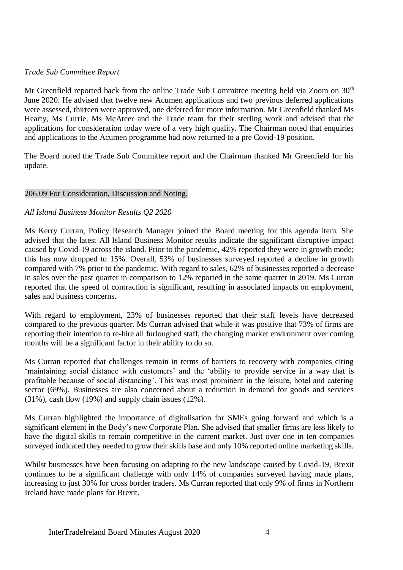# *Trade Sub Committee Report*

Mr Greenfield reported back from the online Trade Sub Committee meeting held via Zoom on  $30<sup>th</sup>$ June 2020. He advised that twelve new Acumen applications and two previous deferred applications were assessed, thirteen were approved, one deferred for more information. Mr Greenfield thanked Ms Hearty, Ms Currie, Ms McAteer and the Trade team for their sterling work and advised that the applications for consideration today were of a very high quality. The Chairman noted that enquiries and applications to the Acumen programme had now returned to a pre Covid-19 position.

The Board noted the Trade Sub Committee report and the Chairman thanked Mr Greenfield for his update.

### 206.09 For Consideration, Discussion and Noting.

### *All Island Business Monitor Results Q2 2020*

Ms Kerry Curran, Policy Research Manager joined the Board meeting for this agenda item. She advised that the latest All Island Business Monitor results indicate the significant disruptive impact caused by Covid-19 across the island. Prior to the pandemic, 42% reported they were in growth mode; this has now dropped to 15%. Overall, 53% of businesses surveyed reported a decline in growth compared with 7% prior to the pandemic. With regard to sales, 62% of businesses reported a decrease in sales over the past quarter in comparison to 12% reported in the same quarter in 2019. Ms Curran reported that the speed of contraction is significant, resulting in associated impacts on employment, sales and business concerns.

With regard to employment, 23% of businesses reported that their staff levels have decreased compared to the previous quarter. Ms Curran advised that while it was positive that 73% of firms are reporting their intention to re-hire all furloughed staff, the changing market environment over coming months will be a significant factor in their ability to do so.

Ms Curran reported that challenges remain in terms of barriers to recovery with companies citing 'maintaining social distance with customers' and the 'ability to provide service in a way that is profitable because of social distancing'. This was most prominent in the leisure, hotel and catering sector (69%). Businesses are also concerned about a reduction in demand for goods and services (31%), cash flow (19%) and supply chain issues (12%).

Ms Curran highlighted the importance of digitalisation for SMEs going forward and which is a significant element in the Body's new Corporate Plan. She advised that smaller firms are less likely to have the digital skills to remain competitive in the current market. Just over one in ten companies surveyed indicated they needed to grow their skills base and only 10% reported online marketing skills.

Whilst businesses have been focusing on adapting to the new landscape caused by Covid-19, Brexit continues to be a significant challenge with only 14% of companies surveyed having made plans, increasing to just 30% for cross border traders. Ms Curran reported that only 9% of firms in Northern Ireland have made plans for Brexit.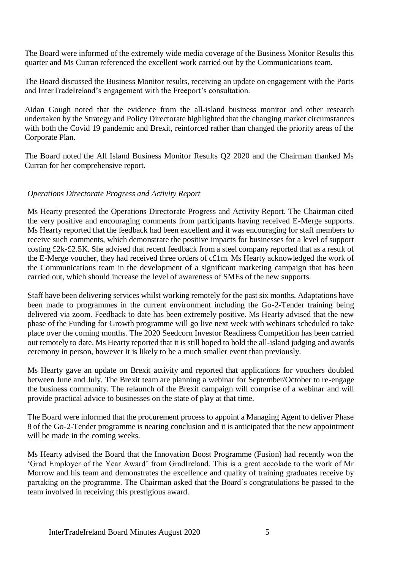The Board were informed of the extremely wide media coverage of the Business Monitor Results this quarter and Ms Curran referenced the excellent work carried out by the Communications team.

The Board discussed the Business Monitor results, receiving an update on engagement with the Ports and InterTradeIreland's engagement with the Freeport's consultation.

Aidan Gough noted that the evidence from the all-island business monitor and other research undertaken by the Strategy and Policy Directorate highlighted that the changing market circumstances with both the Covid 19 pandemic and Brexit, reinforced rather than changed the priority areas of the Corporate Plan.

The Board noted the All Island Business Monitor Results Q2 2020 and the Chairman thanked Ms Curran for her comprehensive report.

### *Operations Directorate Progress and Activity Report*

Ms Hearty presented the Operations Directorate Progress and Activity Report. The Chairman cited the very positive and encouraging comments from participants having received E-Merge supports. Ms Hearty reported that the feedback had been excellent and it was encouraging for staff members to receive such comments, which demonstrate the positive impacts for businesses for a level of support costing £2k-£2.5K. She advised that recent feedback from a steel company reported that as a result of the E-Merge voucher, they had received three orders of c£1m. Ms Hearty acknowledged the work of the Communications team in the development of a significant marketing campaign that has been carried out, which should increase the level of awareness of SMEs of the new supports.

Staff have been delivering services whilst working remotely for the past six months. Adaptations have been made to programmes in the current environment including the Go-2-Tender training being delivered via zoom. Feedback to date has been extremely positive. Ms Hearty advised that the new phase of the Funding for Growth programme will go live next week with webinars scheduled to take place over the coming months. The 2020 Seedcorn Investor Readiness Competition has been carried out remotely to date. Ms Hearty reported that it is still hoped to hold the all-island judging and awards ceremony in person, however it is likely to be a much smaller event than previously.

Ms Hearty gave an update on Brexit activity and reported that applications for vouchers doubled between June and July. The Brexit team are planning a webinar for September/October to re-engage the business community. The relaunch of the Brexit campaign will comprise of a webinar and will provide practical advice to businesses on the state of play at that time.

The Board were informed that the procurement process to appoint a Managing Agent to deliver Phase 8 of the Go-2-Tender programme is nearing conclusion and it is anticipated that the new appointment will be made in the coming weeks.

Ms Hearty advised the Board that the Innovation Boost Programme (Fusion) had recently won the 'Grad Employer of the Year Award' from GradIreland. This is a great accolade to the work of Mr Morrow and his team and demonstrates the excellence and quality of training graduates receive by partaking on the programme. The Chairman asked that the Board's congratulations be passed to the team involved in receiving this prestigious award.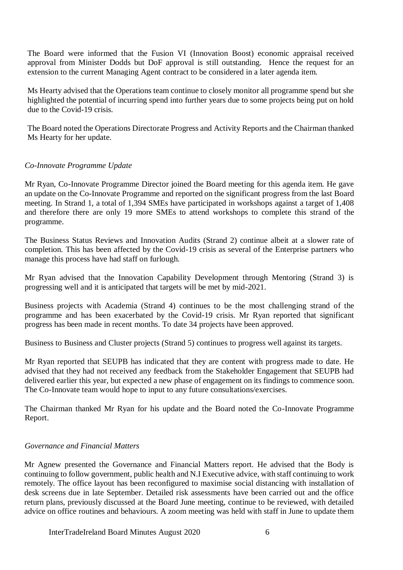The Board were informed that the Fusion VI (Innovation Boost) economic appraisal received approval from Minister Dodds but DoF approval is still outstanding. Hence the request for an extension to the current Managing Agent contract to be considered in a later agenda item.

Ms Hearty advised that the Operations team continue to closely monitor all programme spend but she highlighted the potential of incurring spend into further years due to some projects being put on hold due to the Covid-19 crisis.

The Board noted the Operations Directorate Progress and Activity Reports and the Chairman thanked Ms Hearty for her update.

### *Co-Innovate Programme Update*

Mr Ryan, Co-Innovate Programme Director joined the Board meeting for this agenda item. He gave an update on the Co-Innovate Programme and reported on the significant progress from the last Board meeting. In Strand 1, a total of 1,394 SMEs have participated in workshops against a target of 1,408 and therefore there are only 19 more SMEs to attend workshops to complete this strand of the programme.

The Business Status Reviews and Innovation Audits (Strand 2) continue albeit at a slower rate of completion. This has been affected by the Covid-19 crisis as several of the Enterprise partners who manage this process have had staff on furlough.

Mr Ryan advised that the Innovation Capability Development through Mentoring (Strand 3) is progressing well and it is anticipated that targets will be met by mid-2021.

Business projects with Academia (Strand 4) continues to be the most challenging strand of the programme and has been exacerbated by the Covid-19 crisis. Mr Ryan reported that significant progress has been made in recent months. To date 34 projects have been approved.

Business to Business and Cluster projects (Strand 5) continues to progress well against its targets.

Mr Ryan reported that SEUPB has indicated that they are content with progress made to date. He advised that they had not received any feedback from the Stakeholder Engagement that SEUPB had delivered earlier this year, but expected a new phase of engagement on its findings to commence soon. The Co-Innovate team would hope to input to any future consultations/exercises.

The Chairman thanked Mr Ryan for his update and the Board noted the Co-Innovate Programme Report.

### *Governance and Financial Matters*

Mr Agnew presented the Governance and Financial Matters report. He advised that the Body is continuing to follow government, public health and N.I Executive advice, with staff continuing to work remotely. The office layout has been reconfigured to maximise social distancing with installation of desk screens due in late September. Detailed risk assessments have been carried out and the office return plans, previously discussed at the Board June meeting, continue to be reviewed, with detailed advice on office routines and behaviours. A zoom meeting was held with staff in June to update them

InterTradeIreland Board Minutes August 2020 6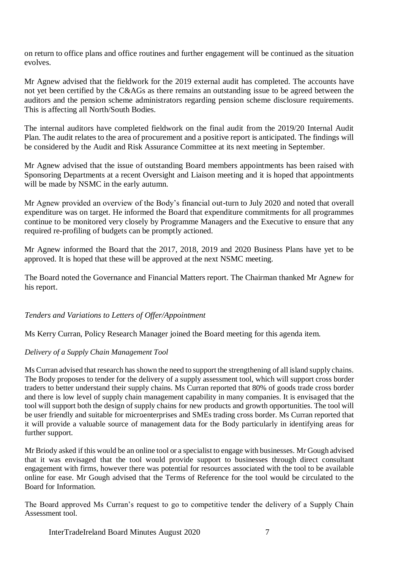on return to office plans and office routines and further engagement will be continued as the situation evolves.

Mr Agnew advised that the fieldwork for the 2019 external audit has completed. The accounts have not yet been certified by the C&AGs as there remains an outstanding issue to be agreed between the auditors and the pension scheme administrators regarding pension scheme disclosure requirements. This is affecting all North/South Bodies.

The internal auditors have completed fieldwork on the final audit from the 2019/20 Internal Audit Plan. The audit relates to the area of procurement and a positive report is anticipated. The findings will be considered by the Audit and Risk Assurance Committee at its next meeting in September.

Mr Agnew advised that the issue of outstanding Board members appointments has been raised with Sponsoring Departments at a recent Oversight and Liaison meeting and it is hoped that appointments will be made by NSMC in the early autumn.

Mr Agnew provided an overview of the Body's financial out-turn to July 2020 and noted that overall expenditure was on target. He informed the Board that expenditure commitments for all programmes continue to be monitored very closely by Programme Managers and the Executive to ensure that any required re-profiling of budgets can be promptly actioned.

Mr Agnew informed the Board that the 2017, 2018, 2019 and 2020 Business Plans have yet to be approved. It is hoped that these will be approved at the next NSMC meeting.

The Board noted the Governance and Financial Matters report. The Chairman thanked Mr Agnew for his report.

*Tenders and Variations to Letters of Offer/Appointment*

Ms Kerry Curran, Policy Research Manager joined the Board meeting for this agenda item.

# *Delivery of a Supply Chain Management Tool*

Ms Curran advised that research has shown the need to support the strengthening of all island supply chains. The Body proposes to tender for the delivery of a supply assessment tool, which will support cross border traders to better understand their supply chains. Ms Curran reported that 80% of goods trade cross border and there is low level of supply chain management capability in many companies. It is envisaged that the tool will support both the design of supply chains for new products and growth opportunities. The tool will be user friendly and suitable for microenterprises and SMEs trading cross border. Ms Curran reported that it will provide a valuable source of management data for the Body particularly in identifying areas for further support.

Mr Briody asked if this would be an online tool or a specialist to engage with businesses. Mr Gough advised that it was envisaged that the tool would provide support to businesses through direct consultant engagement with firms, however there was potential for resources associated with the tool to be available online for ease. Mr Gough advised that the Terms of Reference for the tool would be circulated to the Board for Information.

The Board approved Ms Curran's request to go to competitive tender the delivery of a Supply Chain Assessment tool.

InterTradeIreland Board Minutes August 2020 7